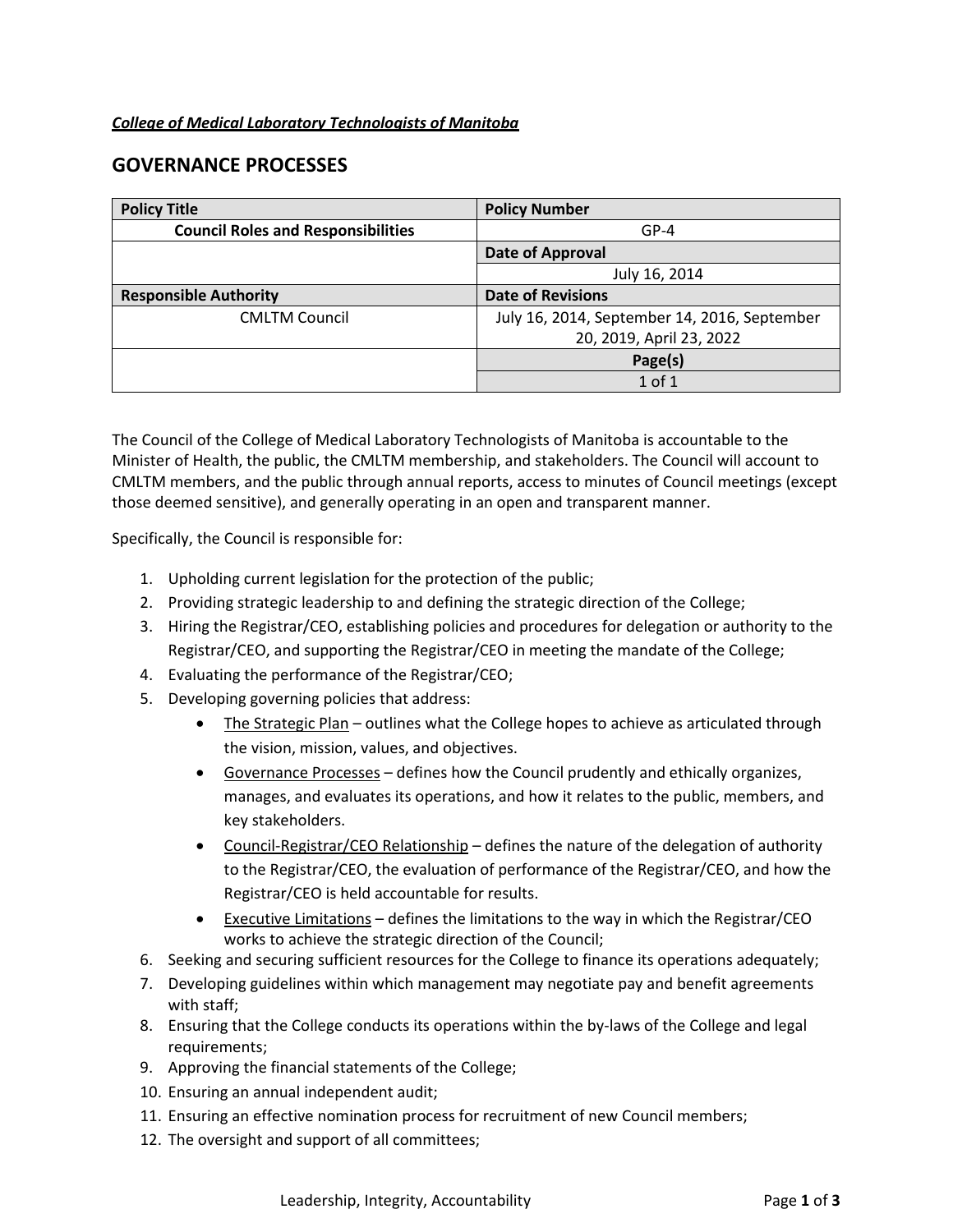## *College of Medical Laboratory Technologists of Manitoba*

# **GOVERNANCE PROCESSES**

| <b>Policy Title</b>                       | <b>Policy Number</b>                         |
|-------------------------------------------|----------------------------------------------|
| <b>Council Roles and Responsibilities</b> | $GP-4$                                       |
|                                           | <b>Date of Approval</b>                      |
|                                           | July 16, 2014                                |
| <b>Responsible Authority</b>              | <b>Date of Revisions</b>                     |
| <b>CMLTM Council</b>                      | July 16, 2014, September 14, 2016, September |
|                                           | 20, 2019, April 23, 2022                     |
|                                           | Page(s)                                      |
|                                           | $1$ of $1$                                   |

The Council of the College of Medical Laboratory Technologists of Manitoba is accountable to the Minister of Health, the public, the CMLTM membership, and stakeholders. The Council will account to CMLTM members, and the public through annual reports, access to minutes of Council meetings (except those deemed sensitive), and generally operating in an open and transparent manner.

Specifically, the Council is responsible for:

- 1. Upholding current legislation for the protection of the public;
- 2. Providing strategic leadership to and defining the strategic direction of the College;
- 3. Hiring the Registrar/CEO, establishing policies and procedures for delegation or authority to the Registrar/CEO, and supporting the Registrar/CEO in meeting the mandate of the College;
- 4. Evaluating the performance of the Registrar/CEO;
- 5. Developing governing policies that address:
	- The Strategic Plan outlines what the College hopes to achieve as articulated through the vision, mission, values, and objectives.
	- Governance Processes defines how the Council prudently and ethically organizes, manages, and evaluates its operations, and how it relates to the public, members, and key stakeholders.
	- Council-Registrar/CEO Relationship defines the nature of the delegation of authority to the Registrar/CEO, the evaluation of performance of the Registrar/CEO, and how the Registrar/CEO is held accountable for results.
	- Executive Limitations defines the limitations to the way in which the Registrar/CEO works to achieve the strategic direction of the Council;
- 6. Seeking and securing sufficient resources for the College to finance its operations adequately;
- 7. Developing guidelines within which management may negotiate pay and benefit agreements with staff;
- 8. Ensuring that the College conducts its operations within the by-laws of the College and legal requirements;
- 9. Approving the financial statements of the College;
- 10. Ensuring an annual independent audit;
- 11. Ensuring an effective nomination process for recruitment of new Council members;
- 12. The oversight and support of all committees;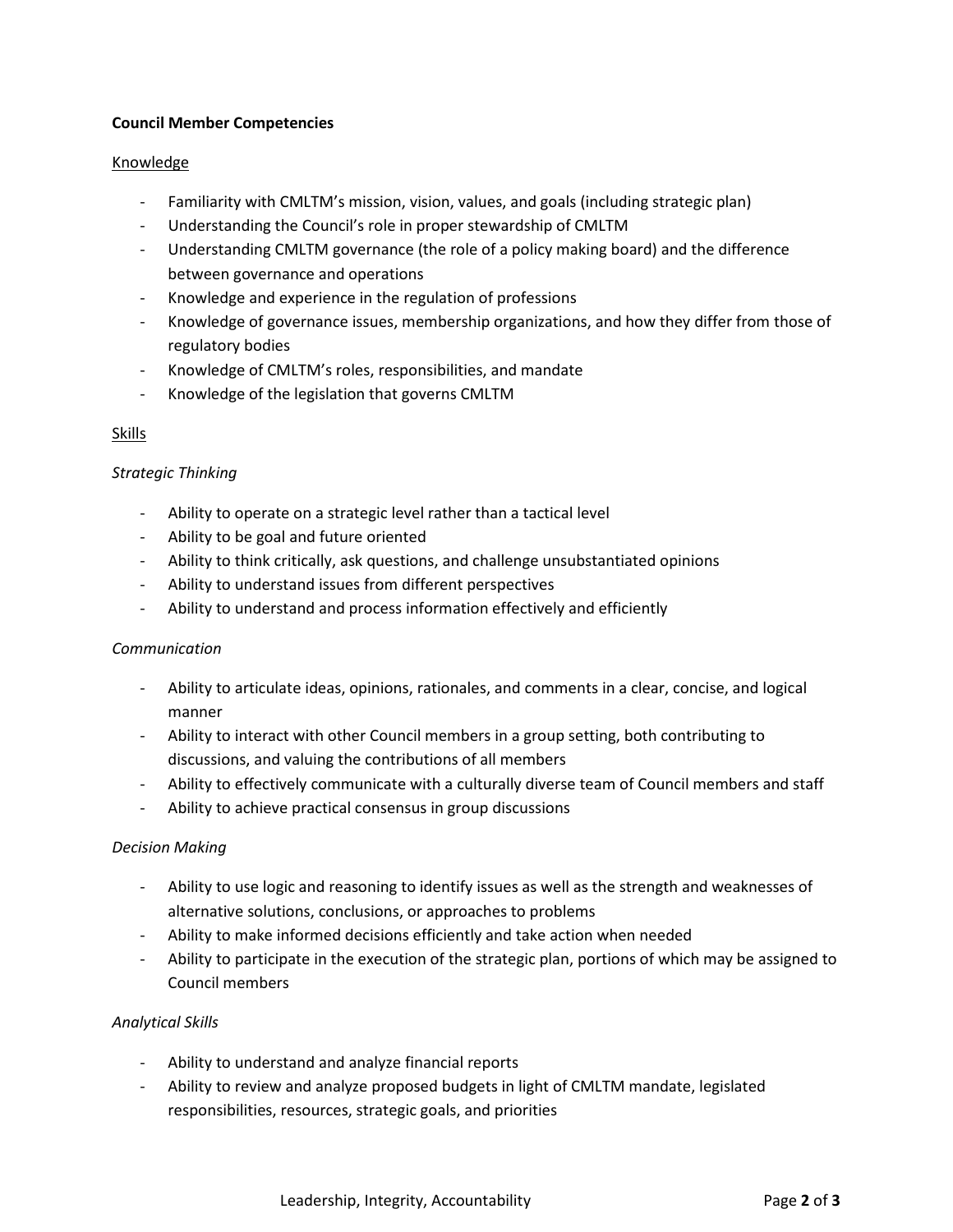## **Council Member Competencies**

## Knowledge

- Familiarity with CMLTM's mission, vision, values, and goals (including strategic plan)
- Understanding the Council's role in proper stewardship of CMLTM
- Understanding CMLTM governance (the role of a policy making board) and the difference between governance and operations
- Knowledge and experience in the regulation of professions
- Knowledge of governance issues, membership organizations, and how they differ from those of regulatory bodies
- Knowledge of CMLTM's roles, responsibilities, and mandate
- Knowledge of the legislation that governs CMLTM

## Skills

## *Strategic Thinking*

- Ability to operate on a strategic level rather than a tactical level
- Ability to be goal and future oriented
- Ability to think critically, ask questions, and challenge unsubstantiated opinions
- Ability to understand issues from different perspectives
- Ability to understand and process information effectively and efficiently

## *Communication*

- Ability to articulate ideas, opinions, rationales, and comments in a clear, concise, and logical manner
- Ability to interact with other Council members in a group setting, both contributing to discussions, and valuing the contributions of all members
- Ability to effectively communicate with a culturally diverse team of Council members and staff
- Ability to achieve practical consensus in group discussions

## *Decision Making*

- Ability to use logic and reasoning to identify issues as well as the strength and weaknesses of alternative solutions, conclusions, or approaches to problems
- Ability to make informed decisions efficiently and take action when needed
- Ability to participate in the execution of the strategic plan, portions of which may be assigned to Council members

## *Analytical Skills*

- Ability to understand and analyze financial reports
- Ability to review and analyze proposed budgets in light of CMLTM mandate, legislated responsibilities, resources, strategic goals, and priorities